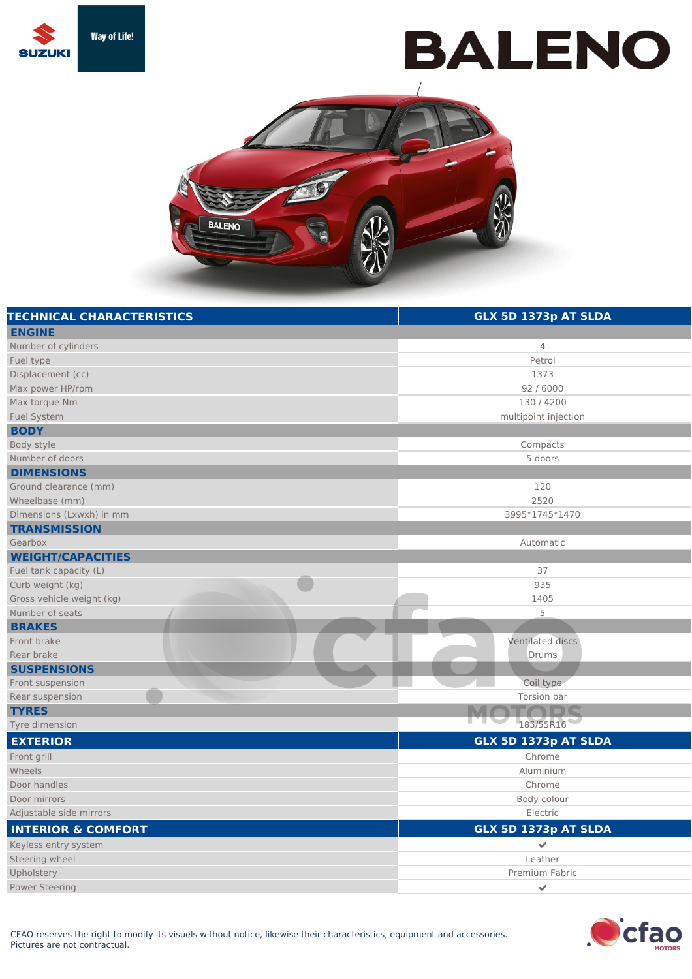

## **BALENO**



| <b>TECHNICAL CHARACTERISTICS</b> | GLX 5D 1373p AT SLDA |
|----------------------------------|----------------------|
| <b>ENGINE</b>                    |                      |
| Number of cylinders              | $\overline{4}$       |
| Fuel type                        | Petrol               |
| Displacement (cc)                | 1373                 |
| Max power HP/rpm                 | 92 / 6000            |
| Max torque Nm                    | 130 / 4200           |
| <b>Fuel System</b>               | multipoint injection |
| <b>BODY</b>                      |                      |
| Body style                       | Compacts             |
| Number of doors                  | 5 doors              |
| <b>DIMENSIONS</b>                |                      |
| Ground clearance (mm)            | 120                  |
| Wheelbase (mm)                   | 2520                 |
| Dimensions (Lxwxh) in mm         | 3995*1745*1470       |
| <b>TRANSMISSION</b>              |                      |
| Gearbox                          | Automatic            |
| <b>WEIGHT/CAPACITIES</b>         |                      |
| Fuel tank capacity (L)           | 37                   |
| Curb weight (kg)                 | 935                  |
| Gross vehicle weight (kg)        | 1405                 |
| Number of seats                  | 5                    |
| <b>BRAKES</b>                    |                      |
| Front brake                      | Ventilated discs     |
| Rear brake                       | Drums                |
| <b>SUSPENSIONS</b>               |                      |
| Front suspension                 | Coil type            |
| Rear suspension                  | Torsion bar          |
| <b>TYRES</b>                     |                      |
| Tyre dimension                   | 185/55R16            |
| <b>EXTERIOR</b>                  | GLX 5D 1373p AT SLDA |
| Front grill                      | Chrome               |
| Wheels                           | Aluminium            |
| Door handles                     | Chrome               |
| Door mirrors                     | Body colour          |
| Adjustable side mirrors          | Electric             |
| <b>INTERIOR &amp; COMFORT</b>    | GLX 5D 1373p AT SLDA |
| Keyless entry system             | $\checkmark$         |
| Steering wheel                   | Leather              |
| Upholstery                       | Premium Fabric       |
| <b>Power Steering</b>            | $\checkmark$         |